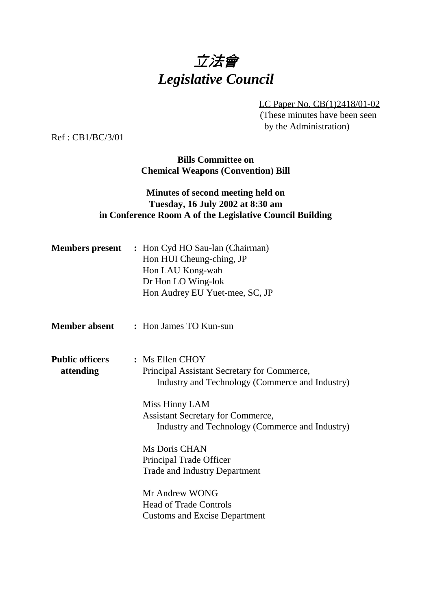

LC Paper No. CB(1)2418/01-02

(These minutes have been seen by the Administration)

Ref : CB1/BC/3/01

**Bills Committee on Chemical Weapons (Convention) Bill**

## **Minutes of second meeting held on Tuesday, 16 July 2002 at 8:30 am in Conference Room A of the Legislative Council Building**

|                                     | <b>Members present</b> : Hon Cyd HO Sau-lan (Chairman)<br>Hon HUI Cheung-ching, JP<br>Hon LAU Kong-wah<br>Dr Hon LO Wing-lok<br>Hon Audrey EU Yuet-mee, SC, JP |
|-------------------------------------|----------------------------------------------------------------------------------------------------------------------------------------------------------------|
|                                     | <b>Member absent : Hon James TO Kun-sun</b>                                                                                                                    |
| <b>Public officers</b><br>attending | : Ms Ellen CHOY<br>Principal Assistant Secretary for Commerce,<br>Industry and Technology (Commerce and Industry)                                              |
|                                     | Miss Hinny LAM<br><b>Assistant Secretary for Commerce,</b><br>Industry and Technology (Commerce and Industry)                                                  |
|                                     | Ms Doris CHAN<br>Principal Trade Officer<br><b>Trade and Industry Department</b>                                                                               |
|                                     | Mr Andrew WONG<br><b>Head of Trade Controls</b><br><b>Customs and Excise Department</b>                                                                        |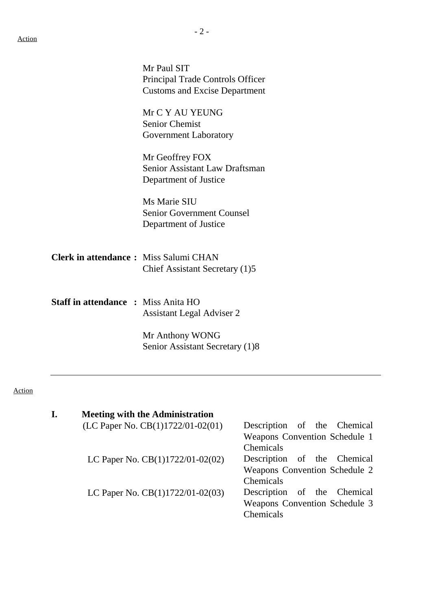|                                              | Mr Paul SIT<br>Principal Trade Controls Officer<br><b>Customs and Excise Department</b> |
|----------------------------------------------|-----------------------------------------------------------------------------------------|
|                                              | Mr C Y AU YEUNG<br><b>Senior Chemist</b><br><b>Government Laboratory</b>                |
|                                              | Mr Geoffrey FOX<br>Senior Assistant Law Draftsman<br>Department of Justice              |
|                                              | Ms Marie SIU<br><b>Senior Government Counsel</b><br>Department of Justice               |
| <b>Clerk in attendance:</b> Miss Salumi CHAN | Chief Assistant Secretary (1)5                                                          |
| <b>Staff in attendance : Miss Anita HO</b>   | <b>Assistant Legal Adviser 2</b>                                                        |
|                                              | Mr Anthony WONG<br>Senior Assistant Secretary (1)8                                      |

#### Action

| <b>Meeting with the Administration</b>                           |                                            |
|------------------------------------------------------------------|--------------------------------------------|
| (LC Paper No. $CB(1)1722/01-02(01)$ Description of the Chemical  |                                            |
|                                                                  | Weapons Convention Schedule 1              |
|                                                                  | Chemicals                                  |
| LC Paper No. $CB(1)1722/01-02(02)$ Description of the Chemical   |                                            |
|                                                                  | Weapons Convention Schedule 2              |
|                                                                  | Chemicals                                  |
| LC Paper No. $CB(1)1722/01-02(03)$ - Description of the Chemical |                                            |
|                                                                  | Weapons Convention Schedule 3<br>Chemicals |
|                                                                  |                                            |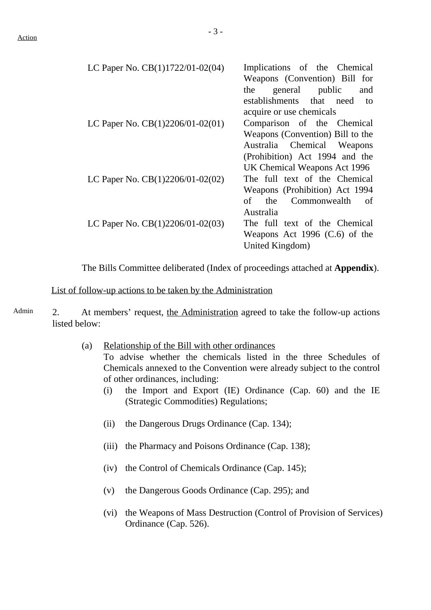| LC Paper No. $CB(1)1722/01-02(04)$ Implications of the Chemical |                                  |
|-----------------------------------------------------------------|----------------------------------|
|                                                                 | Weapons (Convention) Bill for    |
|                                                                 | general public<br>the<br>and     |
|                                                                 | establishments that need<br>to   |
|                                                                 | acquire or use chemicals         |
| LC Paper No. $CB(1)2206/01-02(01)$ —                            | Comparison of the Chemical       |
|                                                                 | Weapons (Convention) Bill to the |
|                                                                 | Australia Chemical Weapons       |
|                                                                 | (Prohibition) Act 1994 and the   |
|                                                                 | UK Chemical Weapons Act 1996     |
| LC Paper No. $CB(1)2206/01-02(02)$ —                            | The full text of the Chemical    |
|                                                                 | Weapons (Prohibition) Act 1994   |
|                                                                 | the Commonwealth<br>of<br>of     |
|                                                                 | Australia                        |
| LC Paper No. $CB(1)2206/01-02(03)$ —                            | The full text of the Chemical    |
|                                                                 | Weapons Act 1996 $(C.6)$ of the  |
|                                                                 | United Kingdom)                  |
|                                                                 |                                  |

The Bills Committee deliberated (Index of proceedings attached at **Appendix**).

#### List of follow-up actions to be taken by the Administration

- Admin 2. At members' request, the Administration agreed to take the follow-up actions listed below:
	- (a) Relationship of the Bill with other ordinances To advise whether the chemicals listed in the three Schedules of Chemicals annexed to the Convention were already subject to the control of other ordinances, including:
		- (i) the Import and Export (IE) Ordinance (Cap. 60) and the IE (Strategic Commodities) Regulations;
		- (ii) the Dangerous Drugs Ordinance (Cap. 134);
		- (iii) the Pharmacy and Poisons Ordinance (Cap. 138);
		- (iv) the Control of Chemicals Ordinance (Cap. 145);
		- (v) the Dangerous Goods Ordinance (Cap. 295); and
		- (vi) the Weapons of Mass Destruction (Control of Provision of Services) Ordinance (Cap. 526).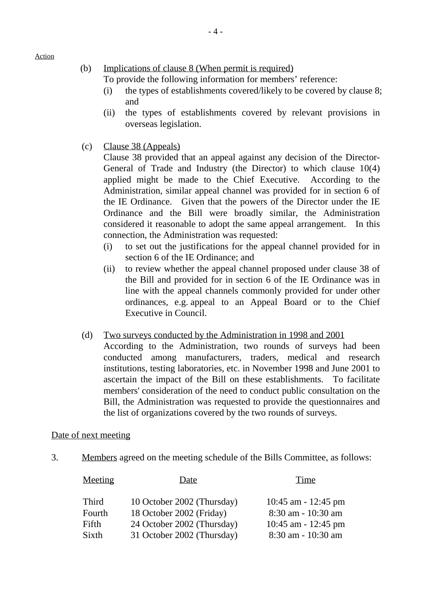## (b) Implications of clause 8 (When permit is required)

To provide the following information for members' reference:

- (i) the types of establishments covered/likely to be covered by clause 8; and
- (ii) the types of establishments covered by relevant provisions in overseas legislation.
- (c) Clause 38 (Appeals)

Clause 38 provided that an appeal against any decision of the Director-General of Trade and Industry (the Director) to which clause 10(4) applied might be made to the Chief Executive. According to the Administration, similar appeal channel was provided for in section 6 of the IE Ordinance. Given that the powers of the Director under the IE Ordinance and the Bill were broadly similar, the Administration considered it reasonable to adopt the same appeal arrangement. In this connection, the Administration was requested:

- (i) to set out the justifications for the appeal channel provided for in section 6 of the IE Ordinance; and
- (ii) to review whether the appeal channel proposed under clause 38 of the Bill and provided for in section 6 of the IE Ordinance was in line with the appeal channels commonly provided for under other ordinances, e.g. appeal to an Appeal Board or to the Chief Executive in Council.

## (d) Two surveys conducted by the Administration in 1998 and 2001

According to the Administration, two rounds of surveys had been conducted among manufacturers, traders, medical and research institutions, testing laboratories, etc. in November 1998 and June 2001 to ascertain the impact of the Bill on these establishments. To facilitate members' consideration of the need to conduct public consultation on the Bill, the Administration was requested to provide the questionnaires and the list of organizations covered by the two rounds of surveys.

## Date of next meeting

3. Members agreed on the meeting schedule of the Bills Committee, as follows:

| Date                       | Time                |
|----------------------------|---------------------|
| 10 October 2002 (Thursday) | 10:45 am - 12:45 pm |
| 18 October 2002 (Friday)   | 8:30 am - 10:30 am  |
| 24 October 2002 (Thursday) | 10:45 am - 12:45 pm |
| 31 October 2002 (Thursday) | 8:30 am - 10:30 am  |
|                            |                     |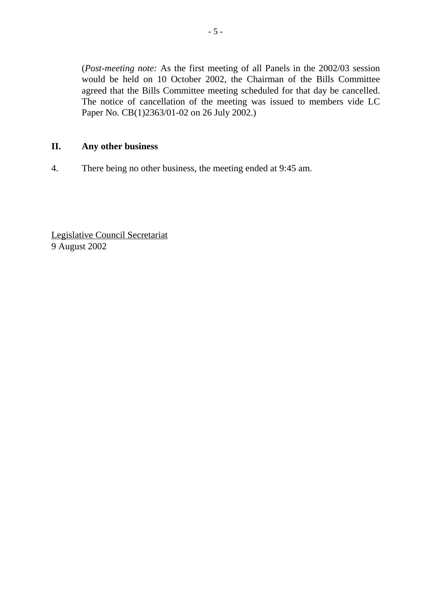(*Post-meeting note:* As the first meeting of all Panels in the 2002/03 session would be held on 10 October 2002, the Chairman of the Bills Committee agreed that the Bills Committee meeting scheduled for that day be cancelled. The notice of cancellation of the meeting was issued to members vide LC Paper No. CB(1)2363/01-02 on 26 July 2002.)

## **II. Any other business**

4. There being no other business, the meeting ended at 9:45 am.

Legislative Council Secretariat 9 August 2002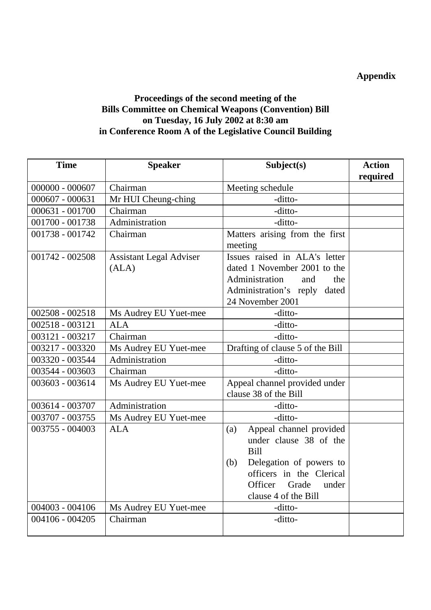# **Appendix**

## **Proceedings of the second meeting of the Bills Committee on Chemical Weapons (Convention) Bill on Tuesday, 16 July 2002 at 8:30 am in Conference Room A of the Legislative Council Building**

| <b>Time</b>       | <b>Speaker</b>                          | Subject(s)                                                                                                                                                         | <b>Action</b><br>required |
|-------------------|-----------------------------------------|--------------------------------------------------------------------------------------------------------------------------------------------------------------------|---------------------------|
| $000000 - 000607$ | Chairman                                | Meeting schedule                                                                                                                                                   |                           |
| 000607 - 000631   | Mr HUI Cheung-ching                     | -ditto-                                                                                                                                                            |                           |
| 000631 - 001700   | Chairman                                | -ditto-                                                                                                                                                            |                           |
| 001700 - 001738   | Administration                          | -ditto-                                                                                                                                                            |                           |
| 001738 - 001742   | Chairman                                | Matters arising from the first<br>meeting                                                                                                                          |                           |
| 001742 - 002508   | <b>Assistant Legal Adviser</b><br>(ALA) | Issues raised in ALA's letter<br>dated 1 November 2001 to the<br>Administration<br>the<br>and<br>Administration's reply dated<br>24 November 2001                  |                           |
| 002508 - 002518   | Ms Audrey EU Yuet-mee                   | -ditto-                                                                                                                                                            |                           |
| 002518 - 003121   | <b>ALA</b>                              | -ditto-                                                                                                                                                            |                           |
| 003121 - 003217   | Chairman                                | -ditto-                                                                                                                                                            |                           |
| 003217 - 003320   | Ms Audrey EU Yuet-mee                   | Drafting of clause 5 of the Bill                                                                                                                                   |                           |
| 003320 - 003544   | Administration                          | -ditto-                                                                                                                                                            |                           |
| 003544 - 003603   | Chairman                                | -ditto-                                                                                                                                                            |                           |
| 003603 - 003614   | Ms Audrey EU Yuet-mee                   | Appeal channel provided under<br>clause 38 of the Bill                                                                                                             |                           |
| 003614 - 003707   | Administration                          | -ditto-                                                                                                                                                            |                           |
| 003707 - 003755   | Ms Audrey EU Yuet-mee                   | -ditto-                                                                                                                                                            |                           |
| 003755 - 004003   | <b>ALA</b>                              | Appeal channel provided<br>(a)<br>under clause 38 of the<br><b>Bill</b><br>Delegation of powers to<br>(b)<br>officers in the Clerical<br>Officer<br>Grade<br>under |                           |
|                   |                                         | clause 4 of the Bill                                                                                                                                               |                           |
| 004003 - 004106   | Ms Audrey EU Yuet-mee                   | -ditto-                                                                                                                                                            |                           |
| 004106 - 004205   | Chairman                                | -ditto-                                                                                                                                                            |                           |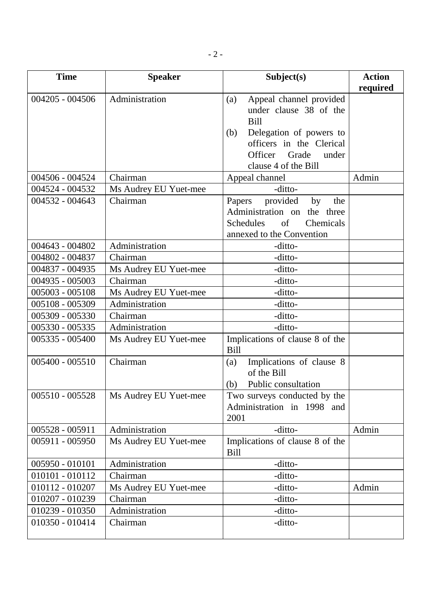| <b>Time</b>       | <b>Speaker</b>        | Subject(s)                                     | <b>Action</b> |
|-------------------|-----------------------|------------------------------------------------|---------------|
|                   |                       |                                                | required      |
| $004205 - 004506$ | Administration        | Appeal channel provided<br>(a)                 |               |
|                   |                       | under clause 38 of the                         |               |
|                   |                       | <b>Bill</b>                                    |               |
|                   |                       | Delegation of powers to<br>(b)                 |               |
|                   |                       | officers in the Clerical                       |               |
|                   |                       | Officer<br>Grade<br>under                      |               |
|                   |                       | clause 4 of the Bill                           |               |
| 004506 - 004524   | Chairman              | Appeal channel                                 | Admin         |
| 004524 - 004532   | Ms Audrey EU Yuet-mee | -ditto-                                        |               |
| 004532 - 004643   | Chairman              | provided<br>Papers<br>by<br>the                |               |
|                   |                       | Administration on the three                    |               |
|                   |                       | Chemicals<br><b>Schedules</b><br>of            |               |
|                   |                       | annexed to the Convention                      |               |
| 004643 - 004802   | Administration        | -ditto-                                        |               |
| 004802 - 004837   | Chairman              | -ditto-                                        |               |
| 004837 - 004935   | Ms Audrey EU Yuet-mee | -ditto-                                        |               |
| 004935 - 005003   | Chairman              | -ditto-                                        |               |
| 005003 - 005108   | Ms Audrey EU Yuet-mee | -ditto-                                        |               |
| 005108 - 005309   | Administration        | -ditto-                                        |               |
| 005309 - 005330   | Chairman              | -ditto-                                        |               |
| 005330 - 005335   | Administration        | -ditto-                                        |               |
| 005335 - 005400   | Ms Audrey EU Yuet-mee | Implications of clause 8 of the<br><b>Bill</b> |               |
| $005400 - 005510$ | Chairman              | Implications of clause 8<br>(a)                |               |
|                   |                       | of the Bill                                    |               |
|                   |                       | Public consultation<br>(b)                     |               |
| 005510 - 005528   | Ms Audrey EU Yuet-mee | Two surveys conducted by the                   |               |
|                   |                       | Administration in 1998 and                     |               |
|                   |                       | 2001                                           |               |
| 005528 - 005911   | Administration        | -ditto-                                        | Admin         |
| 005911 - 005950   | Ms Audrey EU Yuet-mee | Implications of clause 8 of the<br>Bill        |               |
| 005950 - 010101   | Administration        | -ditto-                                        |               |
| 010101 - 010112   | Chairman              | -ditto-                                        |               |
| 010112 - 010207   | Ms Audrey EU Yuet-mee | -ditto-                                        | Admin         |
| 010207 - 010239   | Chairman              | -ditto-                                        |               |
| 010239 - 010350   | Administration        | -ditto-                                        |               |
| 010350 - 010414   | Chairman              | -ditto-                                        |               |
|                   |                       |                                                |               |